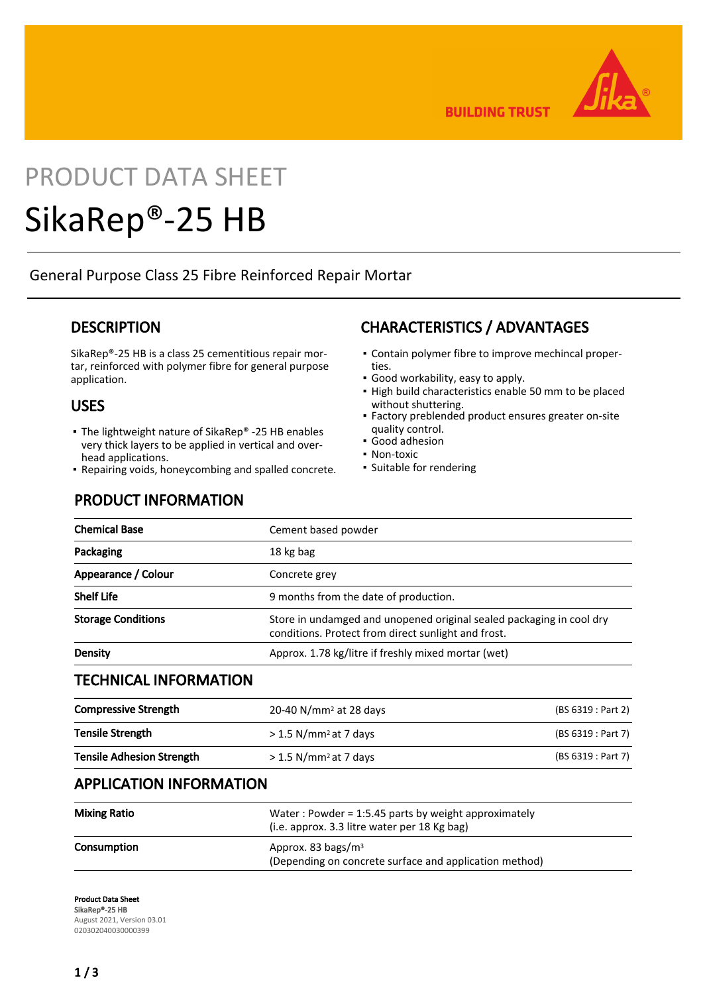

**BUILDING TRUST** 

# PRODUCT DATA SHEET

# SikaRep®-25 HB

General Purpose Class 25 Fibre Reinforced Repair Mortar

## **DESCRIPTION**

SikaRep®-25 HB is a class 25 cementitious repair mortar, reinforced with polymer fibre for general purpose application.

## USES

- The lightweight nature of SikaRep® -25 HB enables very thick layers to be applied in vertical and overhead applications.
- Repairing voids, honeycombing and spalled concrete.

## PRODUCT INFORMATION

## CHARACTERISTICS / ADVANTAGES

- Contain polymer fibre to improve mechincal proper-▪ ties.
- Good workability, easy to apply.
- **.** High build characteristics enable 50 mm to be placed without shuttering.
- **Factory preblended product ensures greater on-site** quality control.
- Good adhesion
- Non-toxic
- Suitable for rendering

| <b>Chemical Base</b>             | Cement based powder                                                                                                         |                                                        |  |
|----------------------------------|-----------------------------------------------------------------------------------------------------------------------------|--------------------------------------------------------|--|
| Packaging                        | 18 kg bag                                                                                                                   |                                                        |  |
| Appearance / Colour              | Concrete grey                                                                                                               |                                                        |  |
| <b>Shelf Life</b>                | 9 months from the date of production.                                                                                       |                                                        |  |
| <b>Storage Conditions</b>        | Store in undamged and unopened original sealed packaging in cool dry<br>conditions. Protect from direct sunlight and frost. |                                                        |  |
| <b>Density</b>                   | Approx. 1.78 kg/litre if freshly mixed mortar (wet)                                                                         |                                                        |  |
| <b>TECHNICAL INFORMATION</b>     |                                                                                                                             |                                                        |  |
| <b>Compressive Strength</b>      | 20-40 N/mm <sup>2</sup> at 28 days                                                                                          | (BS 6319 : Part 2)                                     |  |
| <b>Tensile Strength</b>          | $> 1.5$ N/mm <sup>2</sup> at 7 days                                                                                         | (BS 6319 : Part 7)                                     |  |
| <b>Tensile Adhesion Strength</b> | $> 1.5$ N/mm <sup>2</sup> at 7 days                                                                                         | (BS 6319 : Part 7)                                     |  |
| <b>APPLICATION INFORMATION</b>   |                                                                                                                             |                                                        |  |
| <b>Mixing Ratio</b>              | Water: Powder = 1:5.45 parts by weight approximately<br>(i.e. approx. 3.3 litre water per 18 Kg bag)                        |                                                        |  |
| Consumption                      | Approx. 83 bags/ $m3$                                                                                                       | (Depending on concrete surface and application method) |  |
|                                  |                                                                                                                             |                                                        |  |

Product Data Sheet SikaRep®-25 HB August 2021, Version 03.01 020302040030000399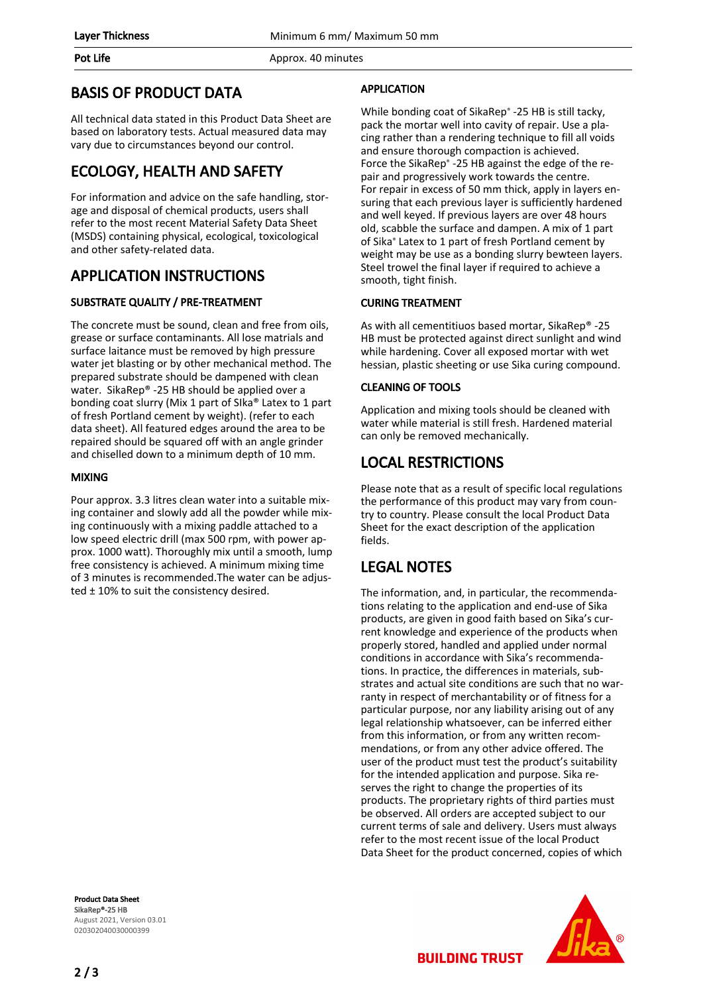#### Pot Life **Approx.** 40 minutes

## BASIS OF PRODUCT DATA

All technical data stated in this Product Data Sheet are based on laboratory tests. Actual measured data may vary due to circumstances beyond our control.

## ECOLOGY, HEALTH AND SAFETY

For information and advice on the safe handling, storage and disposal of chemical products, users shall refer to the most recent Material Safety Data Sheet (MSDS) containing physical, ecological, toxicological and other safety-related data.

## APPLICATION INSTRUCTIONS

### SUBSTRATE QUALITY / PRE-TREATMENT

The concrete must be sound, clean and free from oils, grease or surface contaminants. All lose matrials and surface laitance must be removed by high pressure water jet blasting or by other mechanical method. The prepared substrate should be dampened with clean water. SikaRep® -25 HB should be applied over a bonding coat slurry (Mix 1 part of SIka® Latex to 1 part of fresh Portland cement by weight). (refer to each data sheet). All featured edges around the area to be repaired should be squared off with an angle grinder and chiselled down to a minimum depth of 10 mm.

#### MIXING

Pour approx. 3.3 litres clean water into a suitable mixing container and slowly add all the powder while mixing continuously with a mixing paddle attached to a low speed electric drill (max 500 rpm, with power approx. 1000 watt). Thoroughly mix until a smooth, lump free consistency is achieved. A minimum mixing time of 3 minutes is recommended.The water can be adjusted  $\pm$  10% to suit the consistency desired.

#### Product Data Sheet SikaRep®-25 HB August 2021, Version 03.01 020302040030000399

## APPLICATION

While bonding coat of SikaRep® -25 HB is still tacky, pack the mortar well into cavity of repair. Use a placing rather than a rendering technique to fill all voids and ensure thorough compaction is achieved. Force the SikaRep® -25 HB against the edge of the repair and progressively work towards the centre. For repair in excess of 50 mm thick, apply in layers ensuring that each previous layer is sufficiently hardened and well keyed. If previous layers are over 48 hours old, scabble the surface and dampen. A mix of 1 part of Sika® Latex to 1 part of fresh Portland cement by weight may be use as a bonding slurry bewteen layers. Steel trowel the final layer if required to achieve a smooth, tight finish.

### CURING TREATMENT

As with all cementitiuos based mortar, SikaRep® -25 HB must be protected against direct sunlight and wind while hardening. Cover all exposed mortar with wet hessian, plastic sheeting or use Sika curing compound.

### CLEANING OF TOOLS

Application and mixing tools should be cleaned with water while material is still fresh. Hardened material can only be removed mechanically.

## LOCAL RESTRICTIONS

Please note that as a result of specific local regulations the performance of this product may vary from country to country. Please consult the local Product Data Sheet for the exact description of the application fields.

# LEGAL NOTES

The information, and, in particular, the recommendations relating to the application and end-use of Sika products, are given in good faith based on Sika's current knowledge and experience of the products when properly stored, handled and applied under normal conditions in accordance with Sika's recommendations. In practice, the differences in materials, substrates and actual site conditions are such that no warranty in respect of merchantability or of fitness for a particular purpose, nor any liability arising out of any legal relationship whatsoever, can be inferred either from this information, or from any written recommendations, or from any other advice offered. The user of the product must test the product's suitability for the intended application and purpose. Sika reserves the right to change the properties of its products. The proprietary rights of third parties must be observed. All orders are accepted subject to our current terms of sale and delivery. Users must always refer to the most recent issue of the local Product Data Sheet for the product concerned, copies of which